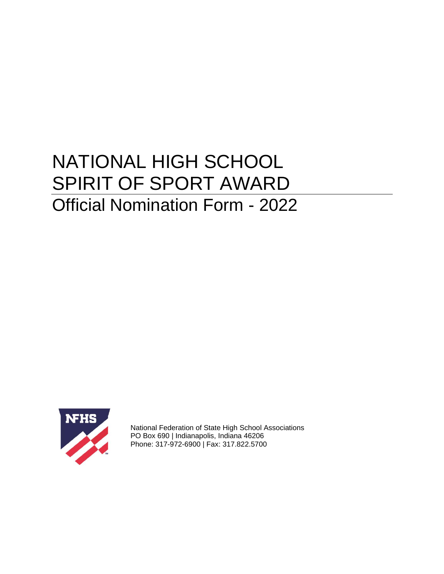# NATIONAL HIGH SCHOOL SPIRIT OF SPORT AWARD Official Nomination Form - 2022



National Federation of State High School Associations PO Box 690 | Indianapolis, Indiana 46206 Phone: 317-972-6900 | Fax: 317.822.5700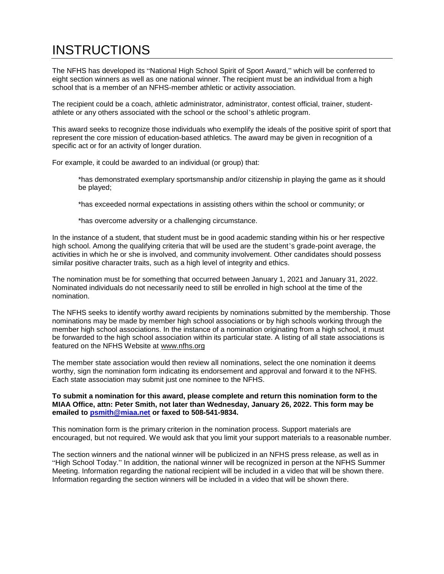# **INSTRUCTIONS**

The NFHS has developed its "National High School Spirit of Sport Award," which will be conferred to eight section winners as well as one national winner. The recipient must be an individual from a high school that is a member of an NFHS-member athletic or activity association.

The recipient could be a coach, athletic administrator, administrator, contest official, trainer, studentathlete or any others associated with the school or the school's athletic program.

This award seeks to recognize those individuals who exemplify the ideals of the positive spirit of sport that represent the core mission of education-based athletics. The award may be given in recognition of a specific act or for an activity of longer duration.

For example, it could be awarded to an individual (or group) that:

\*has demonstrated exemplary sportsmanship and/or citizenship in playing the game as it should be played;

\*has exceeded normal expectations in assisting others within the school or community; or

\*has overcome adversity or a challenging circumstance.

In the instance of a student, that student must be in good academic standing within his or her respective high school. Among the qualifying criteria that will be used are the student's grade-point average, the activities in which he or she is involved, and community involvement. Other candidates should possess similar positive character traits, such as a high level of integrity and ethics.

The nomination must be for something that occurred between January 1, 2021 and January 31, 2022. Nominated individuals do not necessarily need to still be enrolled in high school at the time of the nomination.

The NFHS seeks to identify worthy award recipients by nominations submitted by the membership. Those nominations may be made by member high school associations or by high schools working through the member high school associations. In the instance of a nomination originating from a high school, it must be forwarded to the high school association within its particular state. A listing of all state associations is featured on the NFHS Website at [www.nfhs.org](http://www.nfhs.org/)

The member state association would then review all nominations, select the one nomination it deems worthy, sign the nomination form indicating its endorsement and approval and forward it to the NFHS. Each state association may submit just one nominee to the NFHS.

#### **To submit a nomination for this award, please complete and return this nomination form to the MIAA Office, attn: Peter Smith, not later than Wednesday, January 26, 2022. This form may be emailed to [psmith@miaa.net](mailto:psmith@miaa.net) or faxed to 508-541-9834.**

This nomination form is the primary criterion in the nomination process. Support materials are encouraged, but not required. We would ask that you limit your support materials to a reasonable number.

The section winners and the national winner will be publicized in an NFHS press release, as well as in "High School Today." In addition, the national winner will be recognized in person at the NFHS Summer Meeting. Information regarding the national recipient will be included in a video that will be shown there. Information regarding the section winners will be included in a video that will be shown there.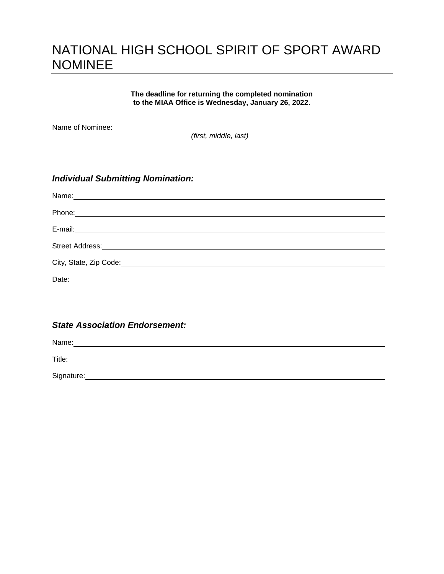### NATIONAL HIGH SCHOOL SPIRIT OF SPORT AWARD NOMINEE

**The deadline for returning the completed nomination to the MIAA Office is Wednesday, January 26, 2022.**

Name of Nominee:<br>
<u>Name</u> of Nominee:

*(first, middle, last)*

### *Individual Submitting Nomination:*

| Name: Name: |
|-------------|
| Phone:      |
|             |
|             |
|             |
| Date:       |

### *State Association Endorsement:*

Name: 2008. 2009. 2010. 2010. 2010. 2010. 2010. 2010. 2010. 2010. 2010. 2010. 2010. 2010. 2010. 2010. 2010. 20

Title: **The Community of the Community of the Community of the Community of the Community of the Community of the Community of the Community of the Community of the Community of the Community of the Community of the Commun** 

Signature: the contract of the contract of the contract of the contract of the contract of the contract of the contract of the contract of the contract of the contract of the contract of the contract of the contract of the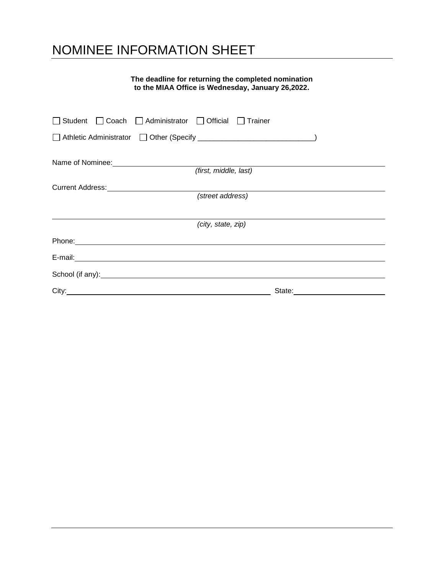# NOMINEE INFORMATION SHEET

### **The deadline for returning the completed nomination to the MIAA Office is Wednesday, January 26,2022.**

| □ Student □ Coach □ Administrator □ Official □ Trainer                                                                                                                                                                              |
|-------------------------------------------------------------------------------------------------------------------------------------------------------------------------------------------------------------------------------------|
|                                                                                                                                                                                                                                     |
|                                                                                                                                                                                                                                     |
| (first, middle, last)                                                                                                                                                                                                               |
|                                                                                                                                                                                                                                     |
| (street address)                                                                                                                                                                                                                    |
|                                                                                                                                                                                                                                     |
| (city, state, zip)                                                                                                                                                                                                                  |
|                                                                                                                                                                                                                                     |
|                                                                                                                                                                                                                                     |
| School (if any): <u>contained</u> and the set of any set of any set of any set of any set of any set of any set of any set of any set of any set of any set of any set of any set of any set of any set of any set of any set of an |
| City: <u>Call Communication</u>                                                                                                                                                                                                     |
|                                                                                                                                                                                                                                     |